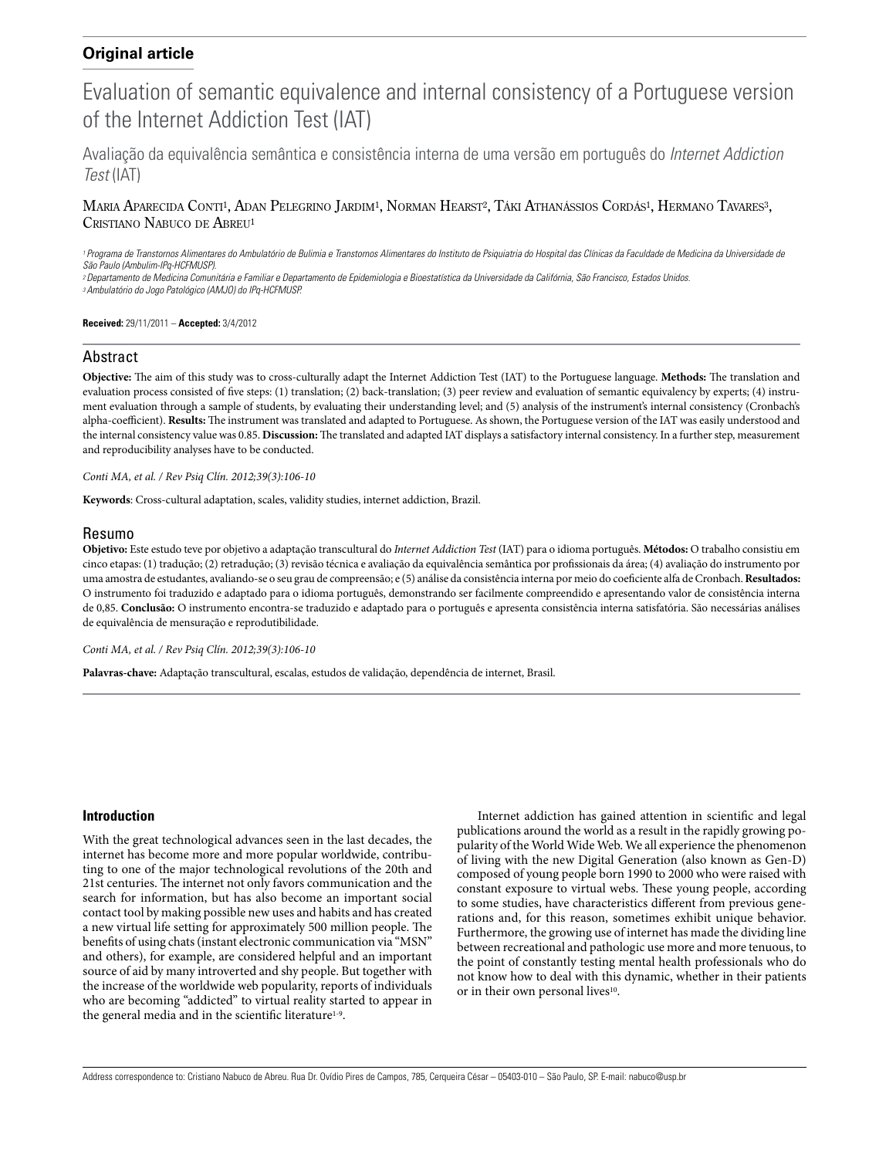## **Original article**

# Evaluation of semantic equivalence and internal consistency of a Portuguese version of the Internet Addiction Test (IAT)

Avaliação da equivalência semântica e consistência interna de uma versão em português do *Internet Addiction Test* (IAT)

## Maria Aparecida Conti1, Adan Pelegrino Jardim1, Norman Hearst2, Táki Athanássios Cordás1, Hermano Tavares3, Cristiano Nabuco de Abreu1

*1 Programa de Transtornos Alimentares do Ambulatório de Bulimia e Transtornos Alimentares do Instituto de Psiquiatria do Hospital das Clínicas da Faculdade de Medicina da Universidade de São Paulo (Ambulim-IPq-HCFMUSP).*

*2 Departamento de Medicina Comunitária e Familiar e Departamento de Epidemiologia e Bioestatística da Universidade da Califórnia, São Francisco, Estados Unidos. 3 Ambulatório do Jogo Patológico (AMJO) do IPq-HCFMUSP.*

**Received:** 29/11/2011 – **Accepted:** 3/4/2012

## **Abstract**

**Objective:** The aim of this study was to cross-culturally adapt the Internet Addiction Test (IAT) to the Portuguese language. **Methods:** The translation and evaluation process consisted of five steps: (1) translation; (2) back-translation; (3) peer review and evaluation of semantic equivalency by experts; (4) instrument evaluation through a sample of students, by evaluating their understanding level; and (5) analysis of the instrument's internal consistency (Cronbach's alpha-coefficient). **Results:** The instrument was translated and adapted to Portuguese. As shown, the Portuguese version of the IAT was easily understood and the internal consistency value was 0.85. **Discussion:** The translated and adapted IAT displays a satisfactory internal consistency. In a further step, measurement and reproducibility analyses have to be conducted.

*Conti MA, et al. / Rev Psiq Clín. 2012;39(3):106-10*

**Keywords**: Cross-cultural adaptation, scales, validity studies, internet addiction, Brazil.

## Resumo

**Objetivo:** Este estudo teve por objetivo a adaptação transcultural do *Internet Addiction Test* (IAT) para o idioma português. **Métodos:** O trabalho consistiu em cinco etapas: (1) tradução; (2) retradução; (3) revisão técnica e avaliação da equivalência semântica por profissionais da área; (4) avaliação do instrumento por uma amostra de estudantes, avaliando-se o seu grau de compreensão; e (5) análise da consistência interna por meio do coeficiente alfa de Cronbach. **Resultados:** O instrumento foi traduzido e adaptado para o idioma português, demonstrando ser facilmente compreendido e apresentando valor de consistência interna de 0,85. **Conclusão:** O instrumento encontra-se traduzido e adaptado para o português e apresenta consistência interna satisfatória. São necessárias análises de equivalência de mensuração e reprodutibilidade.

*Conti MA, et al. / Rev Psiq Clín. 2012;39(3):106-10*

**Palavras-chave:** Adaptação transcultural, escalas, estudos de validação, dependência de internet, Brasil.

## **Introduction**

With the great technological advances seen in the last decades, the internet has become more and more popular worldwide, contributing to one of the major technological revolutions of the 20th and 21st centuries. The internet not only favors communication and the search for information, but has also become an important social contact tool by making possible new uses and habits and has created a new virtual life setting for approximately 500 million people. The benefits of using chats (instant electronic communication via "MSN" and others), for example, are considered helpful and an important source of aid by many introverted and shy people. But together with the increase of the worldwide web popularity, reports of individuals who are becoming "addicted" to virtual reality started to appear in the general media and in the scientific literature<sup>1-9</sup>.

Internet addiction has gained attention in scientific and legal publications around the world as a result in the rapidly growing popularity of the World Wide Web. We all experience the phenomenon of living with the new Digital Generation (also known as Gen-D) composed of young people born 1990 to 2000 who were raised with constant exposure to virtual webs. These young people, according to some studies, have characteristics different from previous generations and, for this reason, sometimes exhibit unique behavior. Furthermore, the growing use of internet has made the dividing line between recreational and pathologic use more and more tenuous, to the point of constantly testing mental health professionals who do not know how to deal with this dynamic, whether in their patients or in their own personal lives10.

Address correspondence to: Cristiano Nabuco de Abreu. Rua Dr. Ovídio Pires de Campos, 785, Cerqueira César – 05403-010 – São Paulo, SP. E-mail: nabuco@usp.br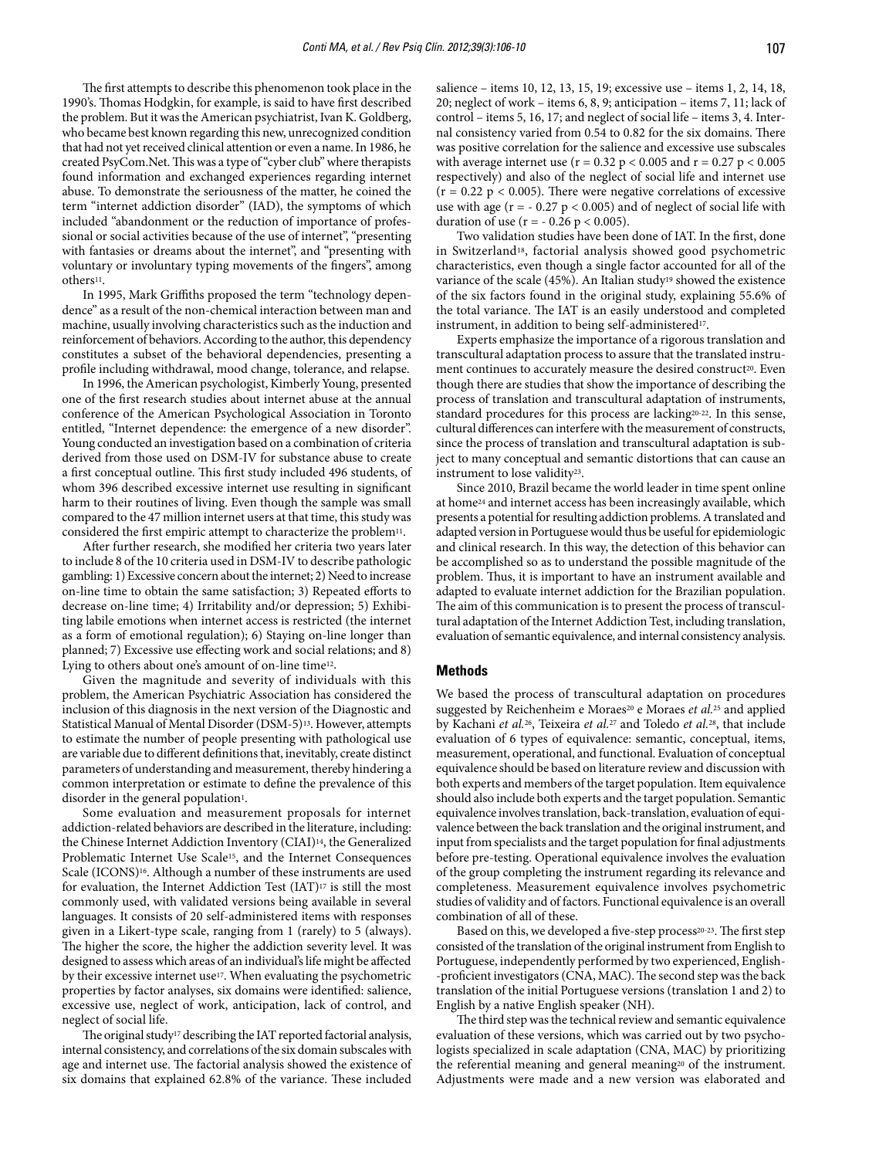The first attempts to describe this phenomenon took place in the 1990's. Thomas Hodgkin, for example, is said to have first described the problem. But it was the American psychiatrist, Ivan K. Goldberg, who became best known regarding this new, unrecognized condition that had not yet received clinical attention or even a name. In 1986, he created PsyCom.Net. This was a type of "cyber club" where therapists found information and exchanged experiences regarding internet abuse. To demonstrate the seriousness of the matter, he coined the term "internet addiction disorder" (IAD), the symptoms of which included "abandonment or the reduction of importance of professional or social activities because of the use of internet", "presenting with fantasies or dreams about the internet", and "presenting with voluntary or involuntary typing movements of the fingers", among others11.

In 1995, Mark Griffiths proposed the term "technology dependence" as a result of the non-chemical interaction between man and machine, usually involving characteristics such as the induction and reinforcement of behaviors. According to the author, this dependency constitutes a subset of the behavioral dependencies, presenting a profile including withdrawal, mood change, tolerance, and relapse.

In 1996, the American psychologist, Kimberly Young, presented one of the first research studies about internet abuse at the annual conference of the American Psychological Association in Toronto entitled, "Internet dependence: the emergence of a new disorder". Young conducted an investigation based on a combination of criteria derived from those used on DSM-IV for substance abuse to create a first conceptual outline. This first study included 496 students, of whom 396 described excessive internet use resulting in significant harm to their routines of living. Even though the sample was small compared to the 47 million internet users at that time, this study was considered the first empiric attempt to characterize the problem<sup>11</sup>.

After further research, she modified her criteria two years later to include 8 of the 10 criteria used in DSM-IV to describe pathologic gambling: 1) Excessive concern about the internet; 2) Need to increase on-line time to obtain the same satisfaction; 3) Repeated efforts to decrease on-line time; 4) Irritability and/or depression; 5) Exhibiting labile emotions when internet access is restricted (the internet as a form of emotional regulation); 6) Staying on-line longer than planned; 7) Excessive use effecting work and social relations; and 8) Lying to others about one's amount of on-line time12.

Given the magnitude and severity of individuals with this problem, the American Psychiatric Association has considered the inclusion of this diagnosis in the next version of the Diagnostic and Statistical Manual of Mental Disorder (DSM-5)13. However, attempts to estimate the number of people presenting with pathological use are variable due to different definitions that, inevitably, create distinct parameters of understanding and measurement, thereby hindering a common interpretation or estimate to define the prevalence of this disorder in the general population<sup>1</sup>.

Some evaluation and measurement proposals for internet addiction-related behaviors are described in the literature, including: the Chinese Internet Addiction Inventory (CIAI)14, the Generalized Problematic Internet Use Scale<sup>15</sup>, and the Internet Consequences Scale (ICONS)16. Although a number of these instruments are used for evaluation, the Internet Addiction Test (IAT)17 is still the most commonly used, with validated versions being available in several languages. It consists of 20 self-administered items with responses given in a Likert-type scale, ranging from 1 (rarely) to 5 (always). The higher the score, the higher the addiction severity level. It was designed to assess which areas of an individual's life might be affected by their excessive internet use17. When evaluating the psychometric properties by factor analyses, six domains were identified: salience, excessive use, neglect of work, anticipation, lack of control, and neglect of social life.

The original study<sup>17</sup> describing the IAT reported factorial analysis, internal consistency, and correlations of the six domain subscales with age and internet use. The factorial analysis showed the existence of six domains that explained 62.8% of the variance. These included

salience – items 10, 12, 13, 15, 19; excessive use – items 1, 2, 14, 18, 20; neglect of work – items 6, 8, 9; anticipation – items 7, 11; lack of control – items 5, 16, 17; and neglect of social life – items 3, 4. Internal consistency varied from 0.54 to 0.82 for the six domains. There was positive correlation for the salience and excessive use subscales with average internet use ( $r = 0.32$  p < 0.005 and  $r = 0.27$  p < 0.005 respectively) and also of the neglect of social life and internet use  $(r = 0.22 \text{ p} < 0.005)$ . There were negative correlations of excessive use with age  $(r = -0.27 \text{ p} < 0.005)$  and of neglect of social life with duration of use ( $r = -0.26$  p < 0.005).

Two validation studies have been done of IAT. In the first, done in Switzerland18, factorial analysis showed good psychometric characteristics, even though a single factor accounted for all of the variance of the scale (45%). An Italian study<sup>19</sup> showed the existence of the six factors found in the original study, explaining 55.6% of the total variance. The IAT is an easily understood and completed instrument, in addition to being self-administered<sup>17</sup>.

Experts emphasize the importance of a rigorous translation and transcultural adaptation process to assure that the translated instrument continues to accurately measure the desired construct<sup>20</sup>. Even though there are studies that show the importance of describing the process of translation and transcultural adaptation of instruments, standard procedures for this process are lacking20-22. In this sense, cultural differences can interfere with the measurement of constructs, since the process of translation and transcultural adaptation is subject to many conceptual and semantic distortions that can cause an instrument to lose validity23.

Since 2010, Brazil became the world leader in time spent online at home24 and internet access has been increasingly available, which presents a potential for resulting addiction problems. A translated and adapted version in Portuguese would thus be useful for epidemiologic and clinical research. In this way, the detection of this behavior can be accomplished so as to understand the possible magnitude of the problem. Thus, it is important to have an instrument available and adapted to evaluate internet addiction for the Brazilian population. The aim of this communication is to present the process of transcultural adaptation of the Internet Addiction Test, including translation, evaluation of semantic equivalence, and internal consistency analysis.

#### **Methods**

We based the process of transcultural adaptation on procedures suggested by Reichenheim e Moraes<sup>20</sup> e Moraes *et al.*<sup>25</sup> and applied by Kachani *et al.*26, Teixeira *et al.*27 and Toledo *et al.*28, that include evaluation of 6 types of equivalence: semantic, conceptual, items, measurement, operational, and functional. Evaluation of conceptual equivalence should be based on literature review and discussion with both experts and members of the target population. Item equivalence should also include both experts and the target population. Semantic equivalence involves translation, back-translation, evaluation of equivalence between the back translation and the original instrument, and input from specialists and the target population for final adjustments before pre-testing. Operational equivalence involves the evaluation of the group completing the instrument regarding its relevance and completeness. Measurement equivalence involves psychometric studies of validity and of factors. Functional equivalence is an overall combination of all of these.

Based on this, we developed a five-step process<sup>20-23</sup>. The first step consisted of the translation of the original instrument from English to Portuguese, independently performed by two experienced, English- -proficient investigators (CNA, MAC). The second step was the back translation of the initial Portuguese versions (translation 1 and 2) to English by a native English speaker (NH).

The third step was the technical review and semantic equivalence evaluation of these versions, which was carried out by two psychologists specialized in scale adaptation (CNA, MAC) by prioritizing the referential meaning and general meaning<sup>20</sup> of the instrument. Adjustments were made and a new version was elaborated and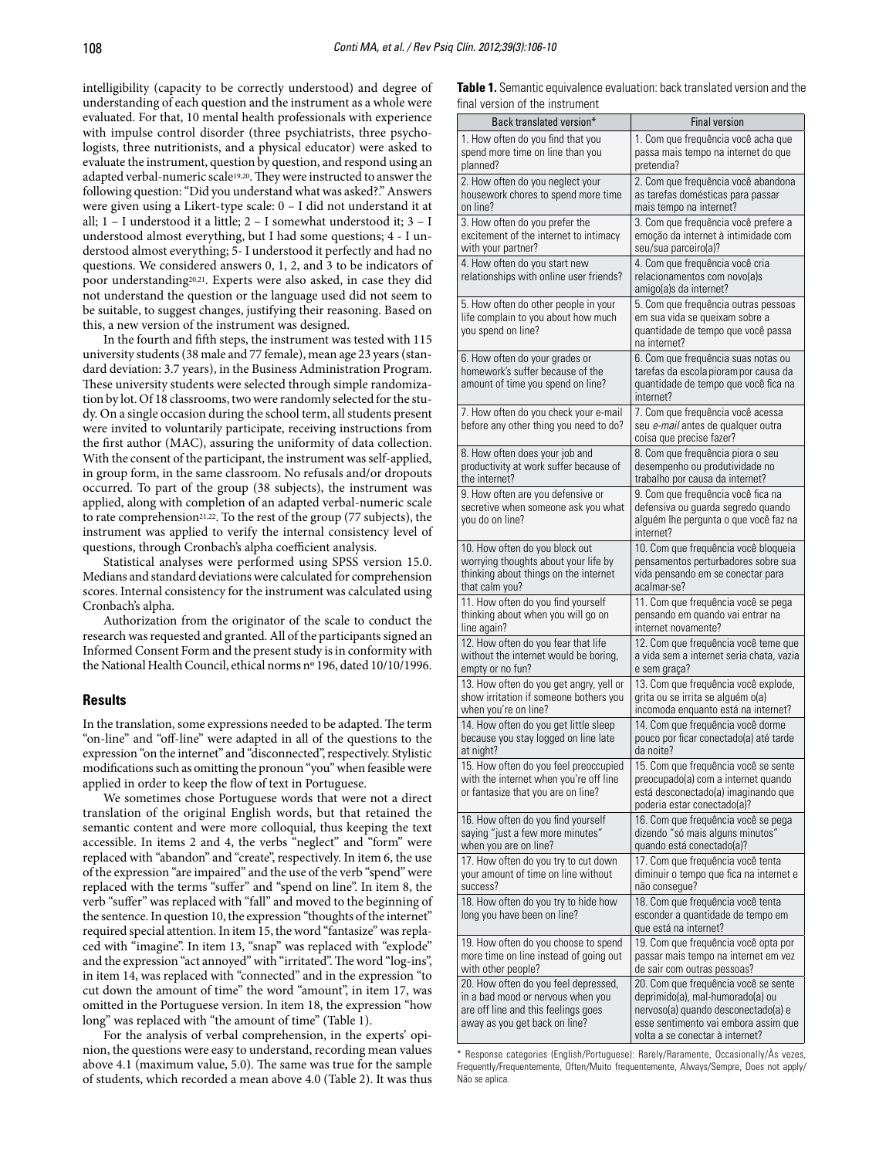intelligibility (capacity to be correctly understood) and degree of understanding of each question and the instrument as a whole were evaluated. For that, 10 mental health professionals with experience with impulse control disorder (three psychiatrists, three psychologists, three nutritionists, and a physical educator) were asked to evaluate the instrument, question by question, and respond using an adapted verbal-numeric scale19,20. They were instructed to answer the following question: "Did you understand what was asked?." Answers were given using a Likert-type scale: 0 – I did not understand it at all; 1 – I understood it a little; 2 – I somewhat understood it; 3 – I understood almost everything, but I had some questions; 4 - I understood almost everything; 5- I understood it perfectly and had no questions. We considered answers 0, 1, 2, and 3 to be indicators of poor understanding20,21. Experts were also asked, in case they did not understand the question or the language used did not seem to be suitable, to suggest changes, justifying their reasoning. Based on this, a new version of the instrument was designed.

In the fourth and fifth steps, the instrument was tested with 115 university students (38 male and 77 female), mean age 23 years (standard deviation: 3.7 years), in the Business Administration Program. These university students were selected through simple randomization by lot. Of 18 classrooms, two were randomly selected for the study. On a single occasion during the school term, all students present were invited to voluntarily participate, receiving instructions from the first author (MAC), assuring the uniformity of data collection. With the consent of the participant, the instrument was self-applied, in group form, in the same classroom. No refusals and/or dropouts occurred. To part of the group (38 subjects), the instrument was applied, along with completion of an adapted verbal-numeric scale to rate comprehension<sup>21,22</sup>. To the rest of the group (77 subjects), the instrument was applied to verify the internal consistency level of questions, through Cronbach's alpha coefficient analysis.

Statistical analyses were performed using SPSS version 15.0. Medians and standard deviations were calculated for comprehension scores. Internal consistency for the instrument was calculated using Cronbach's alpha.

Authorization from the originator of the scale to conduct the research was requested and granted. All of the participants signed an Informed Consent Form and the present study is in conformity with the National Health Council, ethical norms nº 196, dated 10/10/1996.

#### **Results**

In the translation, some expressions needed to be adapted. The term "on-line" and "off-line" were adapted in all of the questions to the expression "on the internet" and "disconnected", respectively. Stylistic modifications such as omitting the pronoun "you" when feasible were applied in order to keep the flow of text in Portuguese.

We sometimes chose Portuguese words that were not a direct translation of the original English words, but that retained the semantic content and were more colloquial, thus keeping the text accessible. In items 2 and 4, the verbs "neglect" and "form" were replaced with "abandon" and "create", respectively. In item 6, the use of the expression "are impaired" and the use of the verb "spend" were replaced with the terms "suffer" and "spend on line". In item 8, the verb "suffer" was replaced with "fall" and moved to the beginning of the sentence. In question 10, the expression "thoughts of the internet" required special attention. In item 15, the word "fantasize" was replaced with "imagine". In item 13, "snap" was replaced with "explode" and the expression "act annoyed" with "irritated". The word "log-ins", in item 14, was replaced with "connected" and in the expression "to cut down the amount of time" the word "amount", in item 17, was omitted in the Portuguese version. In item 18, the expression "how long" was replaced with "the amount of time" (Table 1).

For the analysis of verbal comprehension, in the experts' opinion, the questions were easy to understand, recording mean values above 4.1 (maximum value, 5.0). The same was true for the sample of students, which recorded a mean above 4.0 (Table 2). It was thus

| <b>Table 1.</b> Semantic equivalence evaluation: back translated version and the |  |  |
|----------------------------------------------------------------------------------|--|--|
| final version of the instrument                                                  |  |  |

| Back translated version*                                                                                                                          | <b>Final version</b>                                                                                                                                                                       |  |  |
|---------------------------------------------------------------------------------------------------------------------------------------------------|--------------------------------------------------------------------------------------------------------------------------------------------------------------------------------------------|--|--|
| 1. How often do you find that you                                                                                                                 | 1. Com que frequência você acha que                                                                                                                                                        |  |  |
| spend more time on line than you                                                                                                                  | passa mais tempo na internet do que                                                                                                                                                        |  |  |
| planned?                                                                                                                                          | pretendia?                                                                                                                                                                                 |  |  |
| 2. How often do you neglect your                                                                                                                  | 2. Com que frequência você abandona                                                                                                                                                        |  |  |
| housework chores to spend more time                                                                                                               | as tarefas domésticas para passar                                                                                                                                                          |  |  |
| on line?                                                                                                                                          | mais tempo na internet?                                                                                                                                                                    |  |  |
| 3. How often do you prefer the                                                                                                                    | 3. Com que frequência você prefere a                                                                                                                                                       |  |  |
| excitement of the internet to intimacy                                                                                                            | emoção da internet à intimidade com                                                                                                                                                        |  |  |
| with your partner?                                                                                                                                | seu/sua parceiro(a)?                                                                                                                                                                       |  |  |
| 4. How often do you start new<br>relationships with online user friends?                                                                          | 4. Com que frequência você cria<br>relacionamentos com novo(a)s<br>amigo(a)s da internet?                                                                                                  |  |  |
| 5. How often do other people in your<br>life complain to you about how much<br>you spend on line?                                                 | 5. Com que frequência outras pessoas<br>em sua vida se queixam sobre a<br>quantidade de tempo que você passa<br>na internet?                                                               |  |  |
| 6. How often do your grades or<br>homework's suffer because of the<br>amount of time you spend on line?                                           | 6. Com que frequência suas notas ou<br>tarefas da escola pioram por causa da<br>quantidade de tempo que você fica na<br>internet?                                                          |  |  |
| 7. How often do you check your e-mail<br>before any other thing you need to do?                                                                   | 7. Com que frequência você acessa<br>seu e-mail antes de qualquer outra<br>coisa que precise fazer?                                                                                        |  |  |
| 8. How often does your job and                                                                                                                    | 8. Com que frequência piora o seu                                                                                                                                                          |  |  |
| productivity at work suffer because of                                                                                                            | desempenho ou produtividade no                                                                                                                                                             |  |  |
| the internet?                                                                                                                                     | trabalho por causa da internet?                                                                                                                                                            |  |  |
| 9. How often are you defensive or<br>secretive when someone ask you what<br>you do on line?                                                       | 9. Com que frequência você fica na<br>defensiva ou quarda segredo quando<br>alguém lhe pergunta o que você faz na<br>internet?                                                             |  |  |
| 10. How often do you block out                                                                                                                    | 10. Com que frequência você bloqueia                                                                                                                                                       |  |  |
| worrying thoughts about your life by                                                                                                              | pensamentos perturbadores sobre sua                                                                                                                                                        |  |  |
| thinking about things on the internet                                                                                                             | vida pensando em se conectar para                                                                                                                                                          |  |  |
| that calm you?                                                                                                                                    | acalmar-se?                                                                                                                                                                                |  |  |
| 11. How often do you find yourself                                                                                                                | 11. Com que frequência você se pega                                                                                                                                                        |  |  |
| thinking about when you will go on                                                                                                                | pensando em quando vai entrar na                                                                                                                                                           |  |  |
| line again?                                                                                                                                       | internet novamente?                                                                                                                                                                        |  |  |
| 12. How often do you fear that life                                                                                                               | 12. Com que frequência você teme que                                                                                                                                                       |  |  |
| without the internet would be boring,                                                                                                             | a vida sem a internet seria chata, vazia                                                                                                                                                   |  |  |
| empty or no fun?                                                                                                                                  | e sem graça?                                                                                                                                                                               |  |  |
| 13. How often do you get angry, yell or                                                                                                           | 13. Com que frequência você explode,                                                                                                                                                       |  |  |
| show irritation if someone bothers you                                                                                                            | grita ou se irrita se alquém o(a)                                                                                                                                                          |  |  |
| when you're on line?                                                                                                                              | incomoda enquanto está na internet?                                                                                                                                                        |  |  |
| 14. How often do you get little sleep                                                                                                             | 14. Com que frequência você dorme                                                                                                                                                          |  |  |
| because you stay logged on line late                                                                                                              | pouco por ficar conectado(a) até tarde                                                                                                                                                     |  |  |
| at night?                                                                                                                                         | da noite?                                                                                                                                                                                  |  |  |
| 15. How often do you feel preoccupied<br>with the internet when you're off line<br>or fantasize that you are on line?                             | 15. Com que frequência você se sente<br>preocupado(a) com a internet quando<br>está desconectado(a) imaginando que<br>poderia estar conectado(a)?                                          |  |  |
| 16. How often do you find yourself                                                                                                                | 16. Com que frequência você se pega                                                                                                                                                        |  |  |
| saying "just a few more minutes"                                                                                                                  | dizendo "só mais alguns minutos"                                                                                                                                                           |  |  |
| when you are on line?                                                                                                                             | quando está conectado(a)?                                                                                                                                                                  |  |  |
| 17. How often do you try to cut down                                                                                                              | 17. Com que frequência você tenta                                                                                                                                                          |  |  |
| your amount of time on line without                                                                                                               | diminuir o tempo que fica na internet e                                                                                                                                                    |  |  |
| success?                                                                                                                                          | não consegue?                                                                                                                                                                              |  |  |
| 18. How often do you try to hide how<br>long you have been on line?                                                                               | 18. Com que frequência você tenta<br>esconder a quantidade de tempo em<br>que está na internet?                                                                                            |  |  |
| 19. How often do you choose to spend                                                                                                              | 19. Com que frequência você opta por                                                                                                                                                       |  |  |
| more time on line instead of going out                                                                                                            | passar mais tempo na internet em vez                                                                                                                                                       |  |  |
| with other people?                                                                                                                                | de sair com outras pessoas?                                                                                                                                                                |  |  |
| 20. How often do you feel depressed,<br>in a bad mood or nervous when you<br>are off line and this feelings goes<br>away as you get back on line? | 20. Com que frequência você se sente<br>deprimido(a), mal-humorado(a) ou<br>nervoso(a) quando desconectado(a) e<br>esse sentimento vai embora assim que<br>volta a se conectar à internet? |  |  |

\* Response categories (English/Portuguese): Rarely/Raramente, Occasionally/Às vezes, Frequently/Frequentemente, Often/Muito frequentemente, Always/Sempre, Does not apply/ Não se aplica.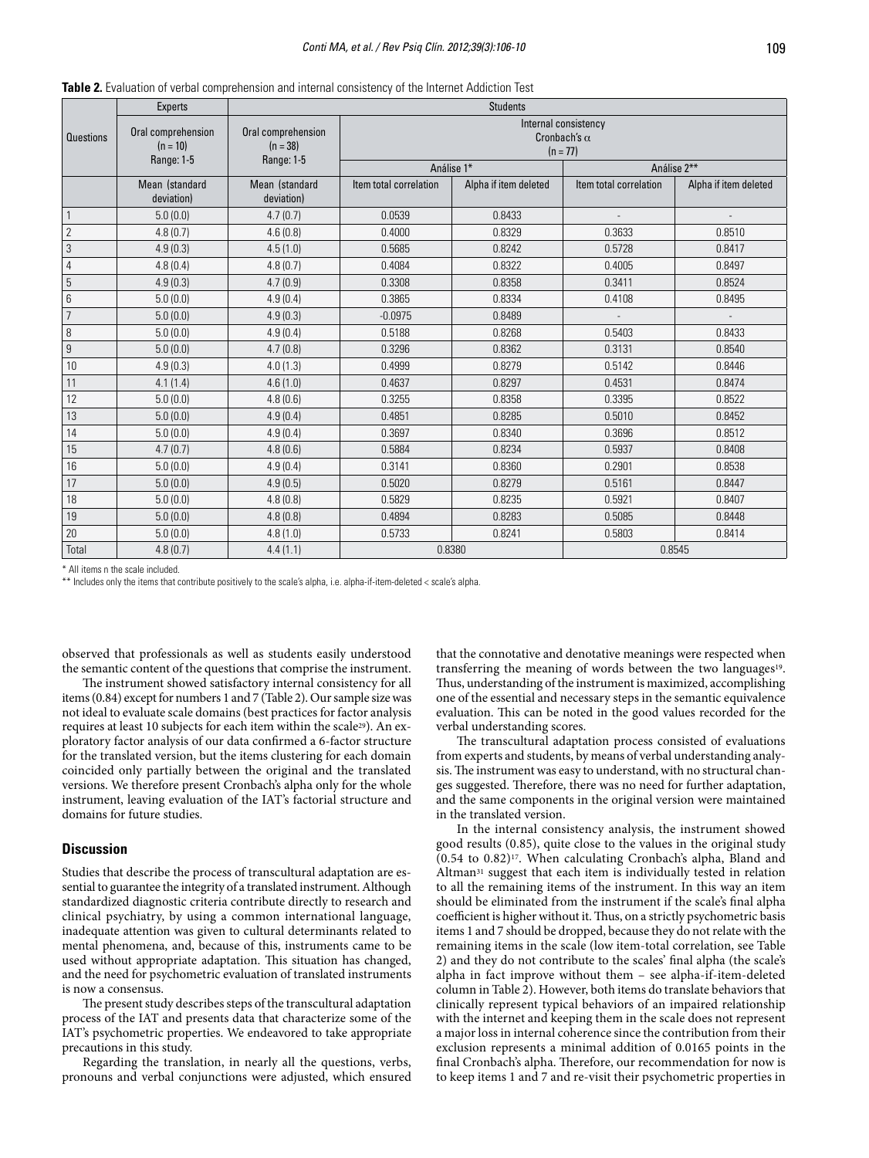**Table 2.** Evaluation of verbal comprehension and internal consistency of the Internet Addiction Test

|                  | <b>Experts</b>                                 | <b>Students</b>                                |                                                           |                       |                        |                       |
|------------------|------------------------------------------------|------------------------------------------------|-----------------------------------------------------------|-----------------------|------------------------|-----------------------|
| <b>Questions</b> | Oral comprehension<br>$(n = 10)$<br>Range: 1-5 | Oral comprehension<br>$(n = 38)$<br>Range: 1-5 | Internal consistency<br>Cronbach's $\alpha$<br>$(n = 77)$ |                       |                        |                       |
|                  |                                                |                                                | Análise 1*                                                |                       | Análise 2**            |                       |
|                  | Mean (standard<br>deviation)                   | Mean (standard<br>deviation)                   | Item total correlation                                    | Alpha if item deleted | Item total correlation | Alpha if item deleted |
| $\mathbf{1}$     | 5.0(0.0)                                       | 4.7(0.7)                                       | 0.0539                                                    | 0.8433                |                        |                       |
| $\overline{2}$   | 4.8(0.7)                                       | 4.6(0.8)                                       | 0.4000                                                    | 0.8329                | 0.3633                 | 0.8510                |
| $\overline{3}$   | 4.9(0.3)                                       | 4.5(1.0)                                       | 0.5685                                                    | 0.8242                | 0.5728                 | 0.8417                |
| $\overline{4}$   | 4.8(0.4)                                       | 4.8(0.7)                                       | 0.4084                                                    | 0.8322                | 0.4005                 | 0.8497                |
| 5                | 4.9(0.3)                                       | 4.7(0.9)                                       | 0.3308                                                    | 0.8358                | 0.3411                 | 0.8524                |
| $6\phantom{1}$   | 5.0(0.0)                                       | 4.9(0.4)                                       | 0.3865                                                    | 0.8334                | 0.4108                 | 0.8495                |
| $\overline{7}$   | 5.0(0.0)                                       | 4.9(0.3)                                       | $-0.0975$                                                 | 0.8489                |                        |                       |
| $\, 8$           | 5.0(0.0)                                       | 4.9(0.4)                                       | 0.5188                                                    | 0.8268                | 0.5403                 | 0.8433                |
| 9                | 5.0(0.0)                                       | 4.7(0.8)                                       | 0.3296                                                    | 0.8362                | 0.3131                 | 0.8540                |
| 10               | 4.9(0.3)                                       | 4.0(1.3)                                       | 0.4999                                                    | 0.8279                | 0.5142                 | 0.8446                |
| 11               | 4.1(1.4)                                       | 4.6(1.0)                                       | 0.4637                                                    | 0.8297                | 0.4531                 | 0.8474                |
| 12               | 5.0(0.0)                                       | 4.8(0.6)                                       | 0.3255                                                    | 0.8358                | 0.3395                 | 0.8522                |
| 13               | 5.0(0.0)                                       | 4.9(0.4)                                       | 0.4851                                                    | 0.8285                | 0.5010                 | 0.8452                |
| 14               | 5.0(0.0)                                       | 4.9(0.4)                                       | 0.3697                                                    | 0.8340                | 0.3696                 | 0.8512                |
| 15               | 4.7(0.7)                                       | 4.8(0.6)                                       | 0.5884                                                    | 0.8234                | 0.5937                 | 0.8408                |
| 16               | 5.0(0.0)                                       | 4.9(0.4)                                       | 0.3141                                                    | 0.8360                | 0.2901                 | 0.8538                |
| 17               | 5.0(0.0)                                       | 4.9(0.5)                                       | 0.5020                                                    | 0.8279                | 0.5161                 | 0.8447                |
| 18               | 5.0(0.0)                                       | 4.8(0.8)                                       | 0.5829                                                    | 0.8235                | 0.5921                 | 0.8407                |
| 19               | 5.0(0.0)                                       | 4.8(0.8)                                       | 0.4894                                                    | 0.8283                | 0.5085                 | 0.8448                |
| 20               | 5.0(0.0)                                       | 4.8(1.0)                                       | 0.5733                                                    | 0.8241                | 0.5803                 | 0.8414                |
| Total            | 4.8(0.7)                                       | 4.4(1.1)                                       | 0.8380<br>0.8545                                          |                       |                        |                       |

\* All items n the scale included.

\*\* Includes only the items that contribute positively to the scale's alpha, i.e. alpha-if-item-deleted < scale's alpha.

observed that professionals as well as students easily understood the semantic content of the questions that comprise the instrument.

The instrument showed satisfactory internal consistency for all items (0.84) except for numbers 1 and 7 (Table 2). Our sample size was not ideal to evaluate scale domains (best practices for factor analysis requires at least 10 subjects for each item within the scale<sup>29</sup>). An exploratory factor analysis of our data confirmed a 6-factor structure for the translated version, but the items clustering for each domain coincided only partially between the original and the translated versions. We therefore present Cronbach's alpha only for the whole instrument, leaving evaluation of the IAT's factorial structure and domains for future studies.

#### **Discussion**

Studies that describe the process of transcultural adaptation are essential to guarantee the integrity of a translated instrument. Although standardized diagnostic criteria contribute directly to research and clinical psychiatry, by using a common international language, inadequate attention was given to cultural determinants related to mental phenomena, and, because of this, instruments came to be used without appropriate adaptation. This situation has changed, and the need for psychometric evaluation of translated instruments is now a consensus.

The present study describes steps of the transcultural adaptation process of the IAT and presents data that characterize some of the IAT's psychometric properties. We endeavored to take appropriate precautions in this study.

Regarding the translation, in nearly all the questions, verbs, pronouns and verbal conjunctions were adjusted, which ensured that the connotative and denotative meanings were respected when transferring the meaning of words between the two languages<sup>19</sup>. Thus, understanding of the instrument is maximized, accomplishing one of the essential and necessary steps in the semantic equivalence evaluation. This can be noted in the good values recorded for the verbal understanding scores.

The transcultural adaptation process consisted of evaluations from experts and students, by means of verbal understanding analysis. The instrument was easy to understand, with no structural changes suggested. Therefore, there was no need for further adaptation, and the same components in the original version were maintained in the translated version.

In the internal consistency analysis, the instrument showed good results (0.85), quite close to the values in the original study (0.54 to 0.82)17. When calculating Cronbach's alpha, Bland and Altman31 suggest that each item is individually tested in relation to all the remaining items of the instrument. In this way an item should be eliminated from the instrument if the scale's final alpha coefficient is higher without it. Thus, on a strictly psychometric basis items 1 and 7 should be dropped, because they do not relate with the remaining items in the scale (low item-total correlation, see Table 2) and they do not contribute to the scales' final alpha (the scale's alpha in fact improve without them – see alpha-if-item-deleted column in Table 2). However, both items do translate behaviors that clinically represent typical behaviors of an impaired relationship with the internet and keeping them in the scale does not represent a major loss in internal coherence since the contribution from their exclusion represents a minimal addition of 0.0165 points in the final Cronbach's alpha. Therefore, our recommendation for now is to keep items 1 and 7 and re-visit their psychometric properties in